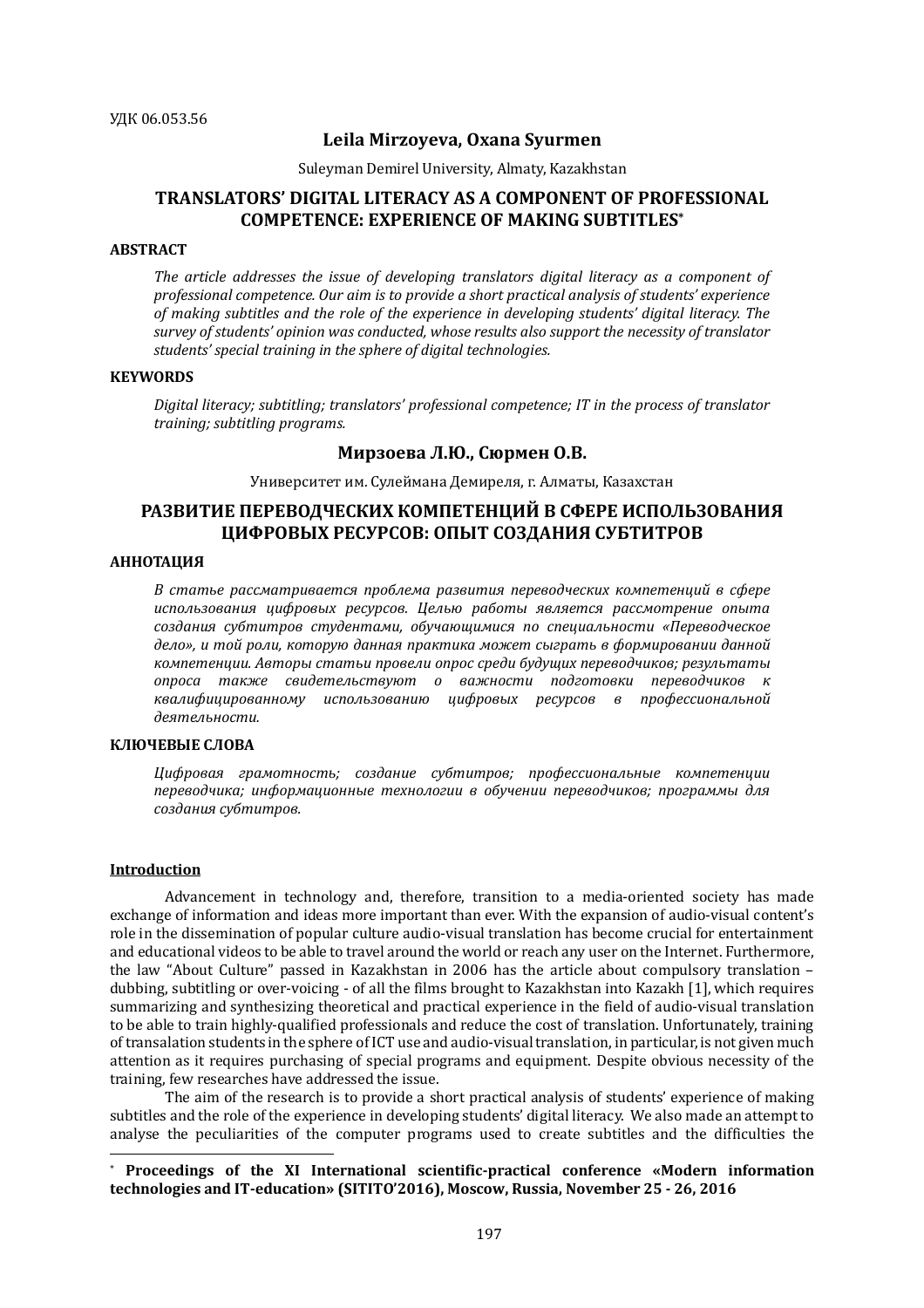### **Leila Mirzoyeva, Oxana Syurmen**

Suleyman Demirel University, Almaty, Kazakhstan

# **TRANSLATORS' DIGITAL LITERACY AS A COMPONENT OF PROFESSIONAL COMPETENCE: EXPERIENCE OF MAKING SUBTITLES\***

# **ABSTRACT**

The article addresses the *issue of developing translators digital literacy* as a component of professional competence. Our aim is to provide a short practical analysis of students' experience of making subtitles and the role of the experience in developing students' digital literacy. The survey of students' opinion was conducted, whose results also support the necessity of translator students' special training in the sphere of digital technologies.

#### **KEYWORDS**

*Digital literacy;* subtitling; translators' professional competence; IT in the process of translator *training; subtitling programs.*

# **Мирзоева Л.Ю., Cюрмен О.В.**

Университет им. Сулеймана Демиреля, г. Алматы, Казахстан

# **РАЗВИТИЕ ПЕРЕВОДЧЕСКИХ КОМПЕТЕНЦИЙ В СФЕРЕ ИСПОЛЬЗОВАНИЯ ЦИФРОВЫХ РЕСУРСОВ: ОПЫТ СОЗДАНИЯ СУБТИТРОВ**

#### **АННОТАЦИЯ**

В статье рассматривается проблема развития переводческих компетенций в сфере *использования цифровых ресурсов. Целью работы является рассмотрение опыта создания субтитров студентами, обучающимися по специальности «Переводческое*  дело», и той роли, которую данная практика может сыграть в формировании данной *компетенции. Авторы статьи провели опрос среди будущих переводчиков; результаты опроса также свидетельствуют о важности подготовки переводчиков к квалифицированному использованию цифровых ресурсов в профессиональной деятельности.*

# **КЛЮЧЕВЫЕ СЛОВА**

*Цифровая грамотность; создание субтитров; профессиональные компетенции*  переводчика; информационные технологии в обучении переводчиков; программы для *создания субтитров.*

#### **Introduction**

 $\overline{a}$ 

Advancement in technology and, therefore, transition to a media-oriented society has made exchange of information and ideas more important than ever. With the expansion of audio-visual content's role in the dissemination of popular culture audio-visual translation has become crucial for entertainment and educational videos to be able to travel around the world or reach any user on the Internet. Furthermore, the law "About Culture" passed in Kazakhstan in 2006 has the article about compulsory translation – dubbing, subtitling or over-voicing - of all the films brought to Kazakhstan into Kazakh [1], which requires summarizing and synthesizing theoretical and practical experience in the field of audio-visual translation to be able to train highly-qualified professionals and reduce the cost of translation. Unfortunately, training of transalation students in the sphere of ICT use and audio-visual translation, in particular, is not given much attention as it requires purchasing of special programs and equipment. Despite obvious necessity of the training, few researches have addressed the issue.

The aim of the research is to provide a short practical analysis of students' experience of making subtitles and the role of the experience in developing students' digital literacy. We also made an attempt to analyse the peculiarities of the computer programs used to create subtitles and the difficulties the

<sup>\*</sup> **Proceedings of the XI International scientific-practical conference «Modern information technologies and IT-education» (SITITO'2016), Moscow, Russia, November 25 - 26, 2016**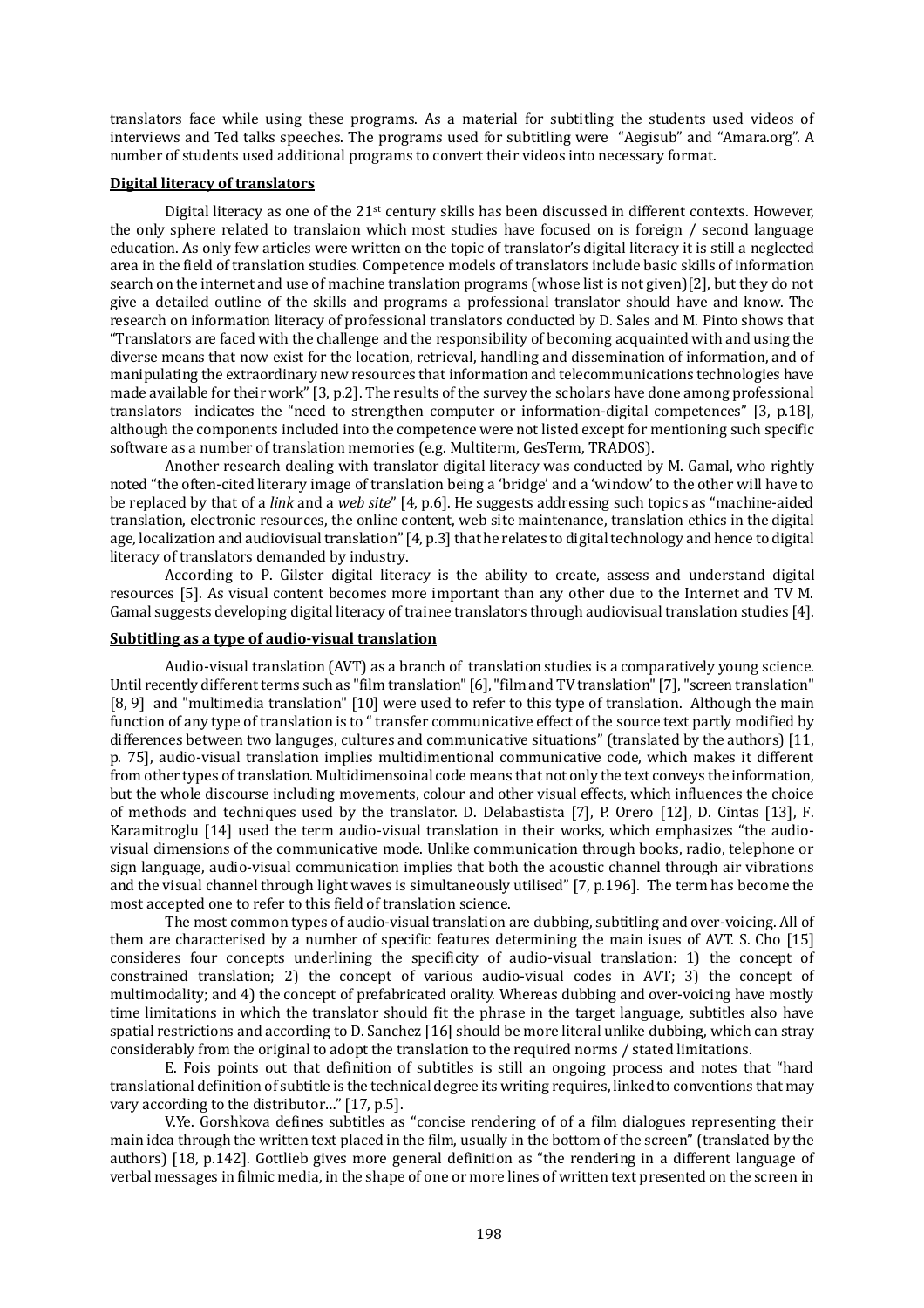translators face while using these programs. As a material for subtitling the students used videos of interviews and Ted talks speeches. The programs used for subtitling were "Aegisub" and "Amara.org". A number of students used additional programs to convert their videos into necessary format.

#### **Digital literacy of translators**

Digital literacy as one of the 21<sup>st</sup> century skills has been discussed in different contexts. However, the only sphere related to translaion which most studies have focused on is foreign / second language education. As only few articles were written on the topic of translator's digital literacy it is still a neglected area in the field of translation studies. Competence models of translators include basic skills of information search on the internet and use of machine translation programs (whose list is not given)[2], but they do not give a detailed outline of the skills and programs a professional translator should have and know. The research on information literacy of professional translators conducted by D. Sales and M. Pinto shows that "Translators are faced with the challenge and the responsibility of becoming acquainted with and using the diverse means that now exist for the location, retrieval, handling and dissemination of information, and of manipulating the extraordinary new resources that information and telecommunications technologies have made available for their work" [3, p.2]. The results of the survey the scholars have done among professional translators indicates the "need to strengthen computer or information-digital competences" [3, p.18], although the components included into the competence were not listed except for mentioning such specific software as a number of translation memories (e.g. Multiterm, GesTerm, TRADOS).

Another research dealing with translator digital literacy was conducted by M. Gamal, who rightly noted "the often-cited literary image of translation being a 'bridge' and a 'window' to the other will have to be replaced by that of a *link* and a *web site*" [4, p.6]. He suggests addressing such topics as "machine-aided translation, electronic resources, the online content, web site maintenance, translation ethics in the digital age, localization and audiovisual translation" [4, p.3] that he relates to digital technology and hence to digital literacy of translators demanded by industry.

According to P. Gilster digital literacy is the ability to create, assess and understand digital resources [5]. As visual content becomes more important than any other due to the Internet and TV M. Gamal suggests developing digital literacy of trainee translators through audiovisual translation studies [4].

# **Subtitling as a type of audio-visual translation**

Audio-visual translation (AVT) as a branch of translation studies is a comparatively young science. Until recently different terms such as "film translation" [6], "film and TV translation" [7], "screen translation" [8, 9] and "multimedia translation" [10] were used to refer to this type of translation. Although the main function of any type of translation is to " transfer communicative effect of the source text partly modified by differences between two languges, cultures and communicative situations" (translated by the authors) [11, p. 75], audio-visual translation implies multidimentional communicative code, which makes it different from other types of translation. Multidimensoinal code means that not only the text conveys the information, but the whole discourse including movements, colour and other visual effects, which influences the choice of methods and techniques used by the translator. D. Delabastista [7], P. Orero [12], D. Cintas [13], F. Karamitroglu [14] used the term audio-visual translation in their works, which emphasizes "the audiovisual dimensions of the communicative mode. Unlike communication through books, radio, telephone or sign language, audio-visual communication implies that both the acoustic channel through air vibrations and the visual channel through light waves is simultaneously utilised" [7, p.196]. The term has become the most accepted one to refer to this field of translation science.

The most common types of audio-visual translation are dubbing, subtitling and over-voicing. All of them are characterised by a number of specific features determining the main isues of AVT. S. Cho [15] consideres four concepts underlining the specificity of audio-visual translation: 1) the concept of constrained translation; 2) the concept of various audio-visual codes in AVT; 3) the concept of multimodality; and 4) the concept of prefabricated orality. Whereas dubbing and over-voicing have mostly time limitations in which the translator should fit the phrase in the target language, subtitles also have spatial restrictions and according to D. Sanchez [16] should be more literal unlike dubbing, which can stray considerably from the original to adopt the translation to the required norms / stated limitations.

E. Fois points out that definition of subtitles is still an ongoing process and notes that "hard translational definition of subtitle is the technical degree its writing requires, linked to conventions that may vary according to the distributor…" [17, p.5].

V.Ye. Gorshkova defines subtitles as "concise rendering of of a film dialogues representing their main idea through the written text placed in the film, usually in the bottom of the screen" (translated by the authors) [18, p.142]. Gottlieb gives more general definition as "the rendering in a different language of verbal messages in filmic media, in the shape of one or more lines of written text presented on the screen in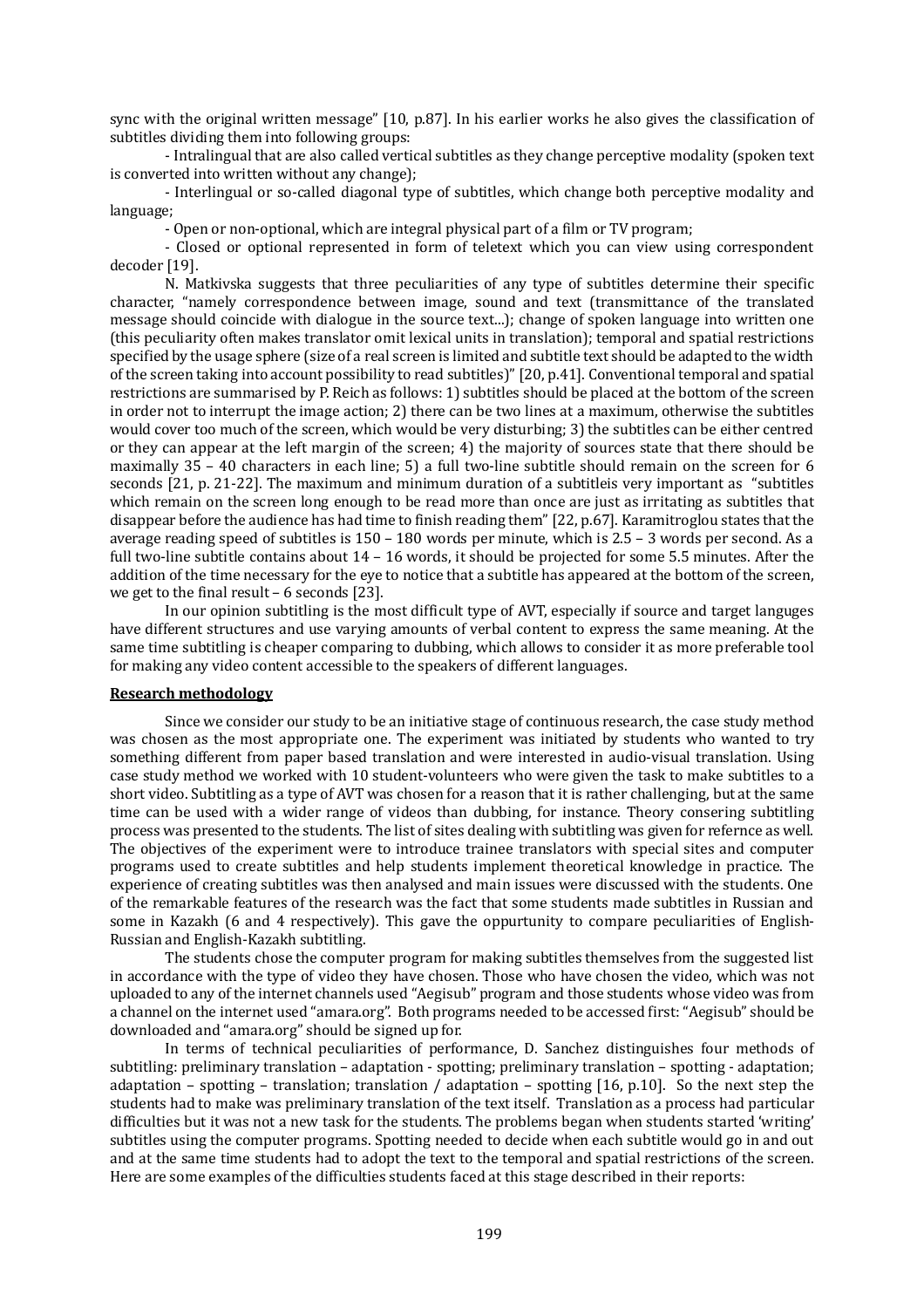sync with the original written message" [10, p.87]. In his earlier works he also gives the classification of subtitles dividing them into following groups:

- Intralingual that are also called vertical subtitles as they change perceptive modality (spoken text is converted into written without any change);

- Interlingual or so-called diagonal type of subtitles, which change both perceptive modality and language;

- Open or non-optional, which are integral physical part of a film or TV program;

- Closed or optional represented in form of teletext which you can view using correspondent decoder [19].

N. Matkivska suggests that three peculiarities of any type of subtitles determine their specific character, "namely correspondence between image, sound and text (transmittance of the translated message should coincide with dialogue in the source text...); change of spoken language into written one (this peculiarity often makes translator omit lexical units in translation); temporal and spatial restrictions specified by the usage sphere (size of a real screen is limited and subtitle text should be adapted to the width of the screen taking into account possibility to read subtitles)" [20, p.41]. Conventional temporal and spatial restrictions are summarised by P. Reich as follows: 1) subtitles should be placed at the bottom of the screen in order not to interrupt the image action; 2) there can be two lines at a maximum, otherwise the subtitles would cover too much of the screen, which would be very disturbing; 3) the subtitles can be either centred or they can appear at the left margin of the screen; 4) the majority of sources state that there should be maximally 35 – 40 characters in each line; 5) a full two-line subtitle should remain on the screen for 6 seconds [21, p. 21-22]. The maximum and minimum duration of a subtitleis very important as "subtitles which remain on the screen long enough to be read more than once are just as irritating as subtitles that disappear before the audience has had time to finish reading them" [22, p.67]. Karamitroglou states that the average reading speed of subtitles is 150 – 180 words per minute, which is 2.5 – 3 words per second. As a full two-line subtitle contains about 14 – 16 words, it should be projected for some 5.5 minutes. After the addition of the time necessary for the eye to notice that a subtitle has appeared at the bottom of the screen, we get to the final result – 6 seconds [23].

In our opinion subtitling is the most difficult type of AVT, especially if source and target languges have different structures and use varying amounts of verbal content to express the same meaning. At the same time subtitling is cheaper comparing to dubbing, which allows to consider it as more preferable tool for making any video content accessible to the speakers of different languages.

#### **Research methodology**

Since we consider our study to be an initiative stage of continuous research, the case study method was chosen as the most appropriate one. The experiment was initiated by students who wanted to try something different from paper based translation and were interested in audio-visual translation. Using case study method we worked with 10 student-volunteers who were given the task to make subtitles to a short video. Subtitling as a type of AVT was chosen for a reason that it is rather challenging, but at the same time can be used with a wider range of videos than dubbing, for instance. Theory consering subtitling process was presented to the students. The list of sites dealing with subtitling was given for refernce as well. The objectives of the experiment were to introduce trainee translators with special sites and computer programs used to create subtitles and help students implement theoretical knowledge in practice. The experience of creating subtitles was then analysed and main issues were discussed with the students. One of the remarkable features of the research was the fact that some students made subtitles in Russian and some in Kazakh (6 and 4 respectively). This gave the oppurtunity to compare peculiarities of English-Russian and English-Kazakh subtitling.

The students chose the computer program for making subtitles themselves from the suggested list in accordance with the type of video they have chosen. Those who have chosen the video, which was not uploaded to any of the internet channels used "Aegisub" program and those students whose video was from a channel on the internet used "amara.org". Both programs needed to be accessed first: "Aegisub" should be downloaded and "amara.org" should be signed up for.

In terms of technical peculiarities of performance, D. Sanchez distinguishes four methods of subtitling: preliminary translation – adaptation - spotting; preliminary translation – spotting - adaptation; adaptation – spotting – translation; translation / adaptation – spotting [16, p.10]. So the next step the students had to make was preliminary translation of the text itself. Translation as a process had particular difficulties but it was not a new task for the students. The problems began when students started 'writing' subtitles using the computer programs. Spotting needed to decide when each subtitle would go in and out and at the same time students had to adopt the text to the temporal and spatial restrictions of the screen. Here are some examples of the difficulties students faced at this stage described in their reports: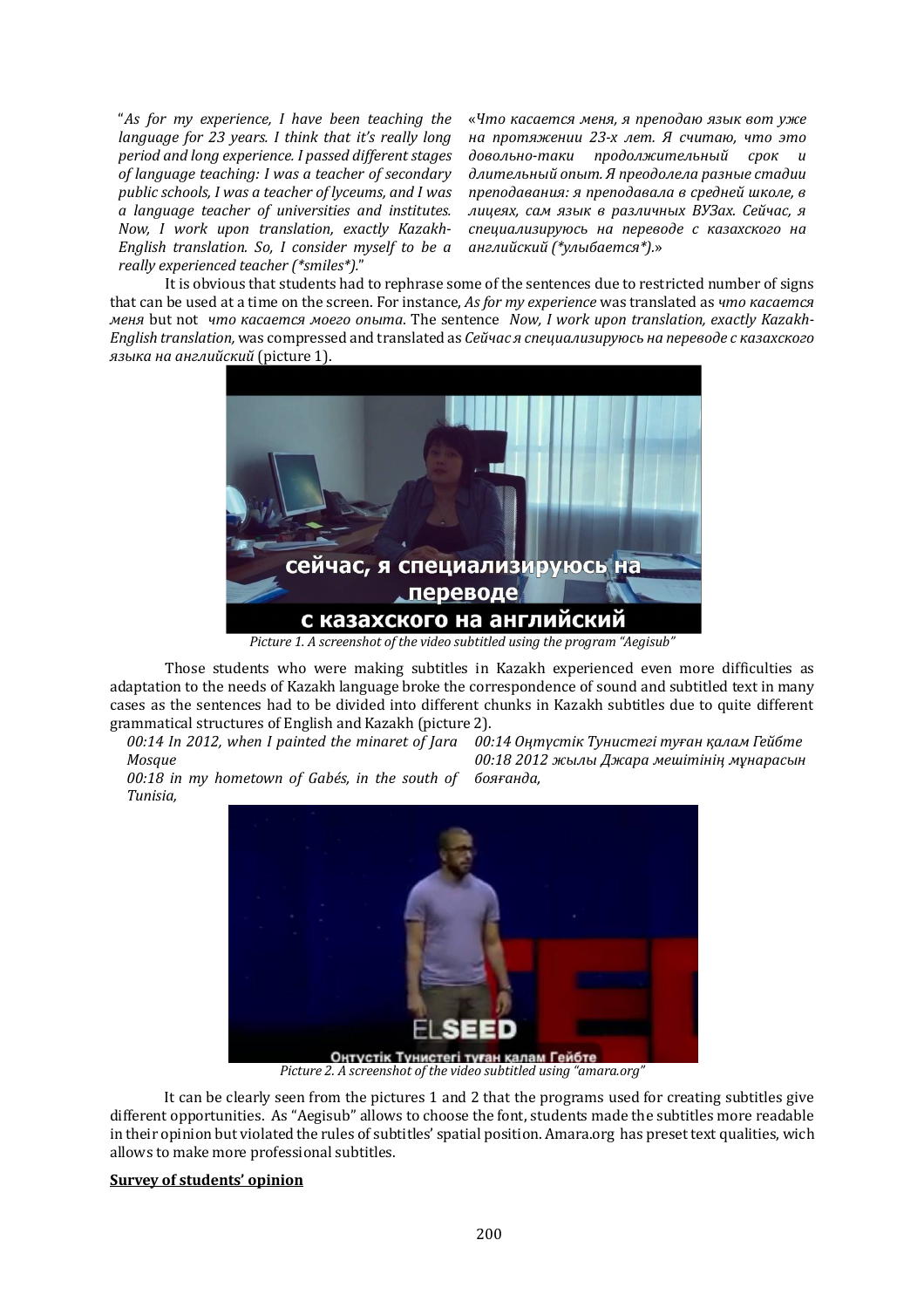"As for my experience, I have been teaching the *language for 23 years. I think that it's really long period and long experience. I passed different stages* of language teaching: I was a teacher of secondary public schools, I was a teacher of *lyceums*, and I was *a language teacher of universities and institutes.*  Now, I work upon translation, exactly Kazakh-*English translation.* So, *I consider myself to be a really experienced teacher (\*smiles\*).*"

«Что касается меня, я преподаю язык вот уже *на протяжении 23-х лет. Я считаю, что это*   $\partial$ овольно-таки продолжительный срок и  $\partial$ лительный опыт. Я преодолела разные стадии *преподавания: я преподавала в средней школе, в*  лицеях, сам язык в различных ВУЗах. Сейчас, я *специализируюсь на переводе с казахского на английский (\*улыбается\*).*»

It is obvious that students had to rephrase some of the sentences due to restricted number of signs that can be used at a time on the screen. For instance, *As for my experience* was translated as *что касается меня* but not *что касается моего опыта*. The sentence *Now, I work upon translation, exactly Kazakh-English translation,* was compressed and translated as *Сейчас я специализируюсь на переводе с казахского языка на английский* (picture 1).



*Picture 1. A screenshot of the video subtitled using the program "Aegisub"* 

Those students who were making subtitles in Kazakh experienced even more difficulties as adaptation to the needs of Kazakh language broke the correspondence of sound and subtitled text in many cases as the sentences had to be divided into different chunks in Kazakh subtitles due to quite different grammatical structures of English and Kazakh (picture 2).

*00:14 In 2012, when I painted the minaret of Jara 00:14 Оңтүстік Тунистегі туған қалам Гейбте Mosque*

*00:18 2012 жылы Джара мешітінің мұнарасын бояғанда,*

00:18 in my hometown of Gabés, in the south of *Tunisia,* 



Picture 2. A screenshot of the video subtitled using "amara.org"

It can be clearly seen from the pictures 1 and 2 that the programs used for creating subtitles give different opportunities. As "Aegisub" allows to choose the font, students made the subtitles more readable in their opinion but violated the rules of subtitles' spatial position. Amara.org has preset text qualities, wich allows to make more professional subtitles.

#### **Survey of students' opinion**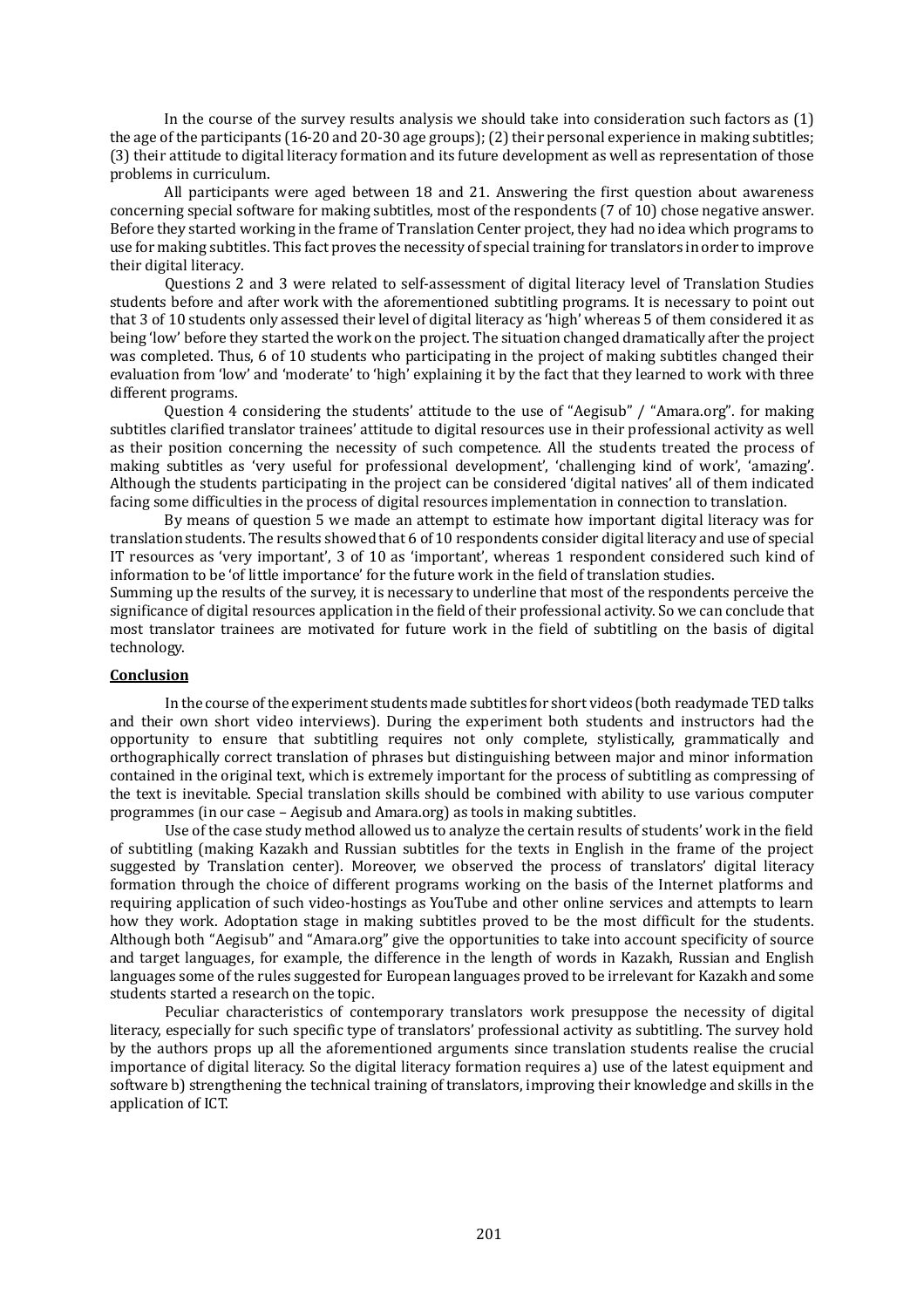In the course of the survey results analysis we should take into consideration such factors as (1) the age of the participants (16-20 and 20-30 age groups); (2) their personal experience in making subtitles; (3) their attitude to digital literacy formation and its future development as well as representation of those problems in curriculum.

All participants were aged between 18 and 21. Answering the first question about awareness concerning special software for making subtitles, most of the respondents (7 of 10) chose negative answer. Before they started working in the frame of Translation Center project, they had no idea which programs to use for making subtitles. This fact proves the necessity of special training for translators in order to improve their digital literacy.

Questions 2 and 3 were related to self-assessment of digital literacy level of Translation Studies students before and after work with the aforementioned subtitling programs. It is necessary to point out that 3 of 10 students only assessed their level of digital literacy as 'high' whereas 5 of them considered it as being 'low' before they started the work on the project. The situation changed dramatically after the project was completed. Thus, 6 of 10 students who participating in the project of making subtitles changed their evaluation from 'low' and 'moderate' to 'high' explaining it by the fact that they learned to work with three different programs.

Question 4 considering the students' attitude to the use of "Aegisub" / "Amara.org". for making subtitles clarified translator trainees' attitude to digital resources use in their professional activity as well as their position concerning the necessity of such competence. All the students treated the process of making subtitles as 'very useful for professional development', 'challenging kind of work', 'amazing'. Although the students participating in the project can be considered 'digital natives' all of them indicated facing some difficulties in the process of digital resources implementation in connection to translation.

By means of question 5 we made an attempt to estimate how important digital literacy was for translation students. The results showed that 6 of 10 respondents consider digital literacy and use of special IT resources as 'very important', 3 of 10 as 'important', whereas 1 respondent considered such kind of information to be 'of little importance' for the future work in the field of translation studies.

Summing up the results of the survey, it is necessary to underline that most of the respondents perceive the significance of digital resources application in the field of their professional activity. So we can conclude that most translator trainees are motivated for future work in the field of subtitling on the basis of digital technology.

#### **Conclusion**

In the course of the experiment students made subtitles for short videos (both readymade TED talks and their own short video interviews). During the experiment both students and instructors had the opportunity to ensure that subtitling requires not only complete, stylistically, grammatically and orthographically correct translation of phrases but distinguishing between major and minor information contained in the original text, which is extremely important for the process of subtitling as compressing of the text is inevitable. Special translation skills should be combined with ability to use various computer programmes (in our case – Aegisub and Amara.org) as tools in making subtitles.

Use of the case study method allowed us to analyze the certain results of students' work in the field of subtitling (making Kazakh and Russian subtitles for the texts in English in the frame of the project suggested by Translation center). Moreover, we observed the process of translators' digital literacy formation through the choice of different programs working on the basis of the Internet platforms and requiring application of such video-hostings as YouTube and other online services and attempts to learn how they work. Adoptation stage in making subtitles proved to be the most difficult for the students. Although both "Aegisub" and "Amara.org" give the opportunities to take into account specificity of source and target languages, for example, the difference in the length of words in Kazakh, Russian and English languages some of the rules suggested for European languages proved to be irrelevant for Kazakh and some students started a research on the topic.

Peculiar characteristics of contemporary translators work presuppose the necessity of digital literacy, especially for such specific type of translators' professional activity as subtitling. The survey hold by the authors props up all the aforementioned arguments since translation students realise the crucial importance of digital literacy. So the digital literacy formation requires a) use of the latest equipment and software b) strengthening the technical training of translators, improving their knowledge and skills in the application of ICT.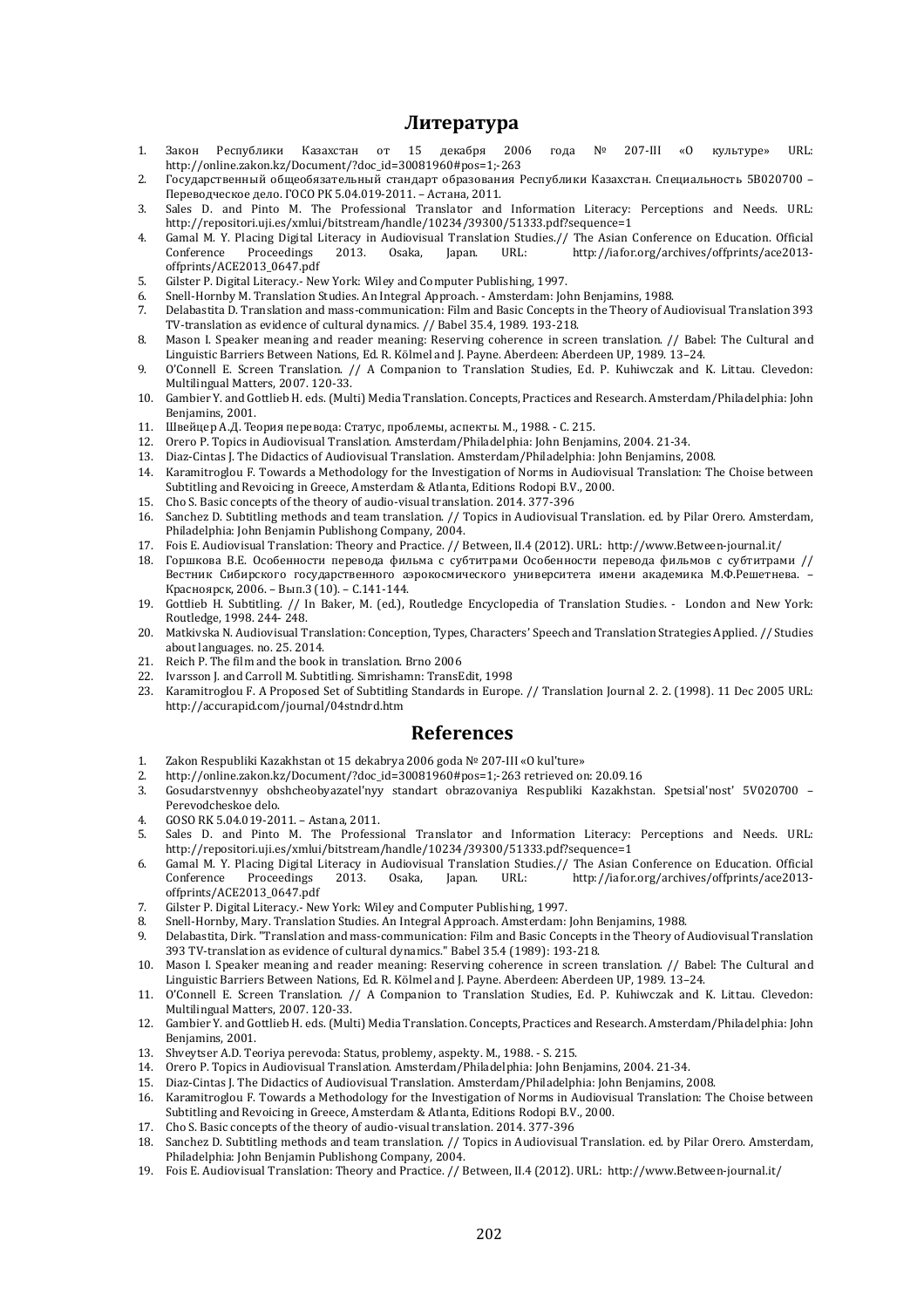### **Литература**

- 1. Закон Республики Казахстан от 15 декабря 2006 года № 207-III «О культуре» URL: http://online.zakon.kz/Document/?doc\_id=30081960#pos=1;-263
- 2. Государственный общеобязательный стандарт образования Республики Казахстан. Специальность 5В020700 Переводческое дело. ГОСО РК 5.04.019-2011. – Астана, 2011.
- 3. Sales D. and Pinto M. The Professional Translator and Information Literacy: Perceptions and Needs. URL: http://repositori.uji.es/xmlui/bitstream/handle/10234/39300/51333.pdf?sequence=1
- 4. Gamal M. Y. Placing Digital Literacy in Audiovisual Translation Studies.// The Asian Conference on Education. Official Conference Proceedings 2013. Osaka, Japan. URL: http://iafor.org/archives/offprints/ace2013-Conference Proceedings 2013. Osaka, Japan. URL: http://iafor.org/archives/offprints/ace2013 offprints/ACE2013\_0647.pdf
- 5. Gilster P. Digital Literacy.- New York: Wiley and Computer Publishing, 1997.
- 6. Snell-Hornby M. Translation Studies. An Integral Approach. Amsterdam: John Benjamins, 1988.
- 7. Delabastita D. Translation and mass-communication: Film and Basic Concepts in the Theory of Audiovisual Translation 393 TV-translation as evidence of cultural dynamics. // Babel 35.4, 1989. 193-218.
- 8. Mason I. Speaker meaning and reader meaning: Reserving coherence in screen translation. // Babel: The Cultural and Linguistic Barriers Between Nations, Ed. R. Kölmel and J. Payne. Aberdeen: Aberdeen UP, 1989. 13–24.
- 9. O'Connell E. Screen Translation. // A Companion to Translation Studies, Ed. P. Kuhiwczak and K. Littau. Clevedon: Multilingual Matters, 2007. 120-33.
- 10. Gambier Y. and Gottlieb H. eds. (Multi) Media Translation. Concepts, Practices and Research. Amsterdam/Philadelphia: John Benjamins, 2001.
- 11. Швейцер А.Д. Теория перевода: Статус, проблемы, аспекты. М., 1988. С. 215.
- 12. Orero P. Topics in Audiovisual Translation. Amsterdam/Philadelphia: John Benjamins, 2004. 21-34.
- 13. Diaz-Cintas J. The Didactics of Audiovisual Translation. Amsterdam/Philadelphia: John Benjamins, 2008.
- 14. Karamitroglou F. Towards a Methodology for the Investigation of Norms in Audiovisual Translation: The Choise between Subtitling and Revoicing in Greece, Amsterdam & Atlanta, Editions Rodopi B.V., 2000.
- 15. Cho S. Basic concepts of the theory of audio-visual translation. 2014. 377-396
- 16. Sanchez D. Subtitling methods and team translation. // Topics in Audiovisual Translation. ed. by Pilar Orero. Amsterdam, Philadelphia: John Benjamin Publishong Company, 2004.
- 17. Fois E. Audiovisual Translation: Theory and Practice. // Between, II.4 (2012). URL: http://www.Between-journal.it/
- 18. Горшкова В.Е. Особенности перевода фильма c субтитрами Особенности перевода фильмов с субтитрами // Вестник Сибирского государственного аэрокосмического университета имени академика М.Ф.Решетнева. – Красноярск, 2006. – Вып.3 (10). – С.141-144.
- 19. Gottlieb H. Subtitling. // In Baker, M. (ed.), Routledge Encyclopedia of Translation Studies. London and New York: Routledge, 1998. 244- 248.
- 20. Matkivska N. Audiovisual Translation: Conception, Types, Characters' Speech and Translation Strategies Applied. // Studies about languages. no. 25. 2014.
- 21. Reich P. The film and the book in translation. Brno 2006
- 22. Ivarsson J. and Carroll M. Subtitling. Simrishamn: TransEdit, 1998
- 23. Karamitroglou F. A Proposed Set of Subtitling Standards in Europe. // Translation Journal 2. 2. (1998). 11 Dec 2005 URL: http://accurapid.com/journal/04stndrd.htm

#### **References**

- 1. Zakon Respubliki Kazakhstan ot 15 dekabrya 2006 goda № 207-III «O kul'ture»
- 2. http://online.zakon.kz/Document/?doc\_id=30081960#pos=1;-263 retrieved on: 20.09.16<br>3. Gosudarstvennyy obshcheobyazatel'nyy standart obrazovaniya Respubliki Kazakhsta
- 3. Gosudarstvennyy obshcheobyazatel'nyy standart obrazovaniya Respubliki Kazakhstan. Spetsial'nost' 5V020700 Perevodcheskoe delo.
- 4. GOSO RK 5.04.019-2011. Astana, 2011.
- 5. Sales D. and Pinto M. The Professional Translator and Information Literacy: Perceptions and Needs. URL: http://repositori.uji.es/xmlui/bitstream/handle/10234/39300/51333.pdf?sequence=1
- 6. Gamal M. Y. Placing Digital Literacy in Audiovisual Translation Studies.// The Asian Conference on Education. Official Iapan. URL: http://iafor.org/archives/offprints/ace2013offprints/ACE2013\_0647.pdf
- 7. Gilster P. Digital Literacy.- New York: Wiley and Computer Publishing, 1997.
- 8. Snell-Hornby, Mary. Translation Studies. An Integral Approach. Amsterdam: John Benjamins, 1988.
- 9. Delabastita, Dirk. "Translation and mass-communication: Film and Basic Concepts in the Theory of Audiovisual Translation 393 TV-translation as evidence of cultural dynamics." Babel 35.4 (1989): 193-218.
- 10. Mason I. Speaker meaning and reader meaning: Reserving coherence in screen translation. // Babel: The Cultural and Linguistic Barriers Between Nations, Ed. R. Kölmel and J. Payne. Aberdeen: Aberdeen UP, 1989. 13–24.
- 11. O'Connell E. Screen Translation. // A Companion to Translation Studies, Ed. P. Kuhiwczak and K. Littau. Clevedon: Multilingual Matters, 2007. 120-33.
- 12. Gambier Y. and Gottlieb H. eds. (Multi) Media Translation. Concepts, Practices and Research. Amsterdam/Philadelphia: John Benjamins, 2001.
- 13. Shveytser A.D. Teoriya perevoda: Status, problemy, aspekty. M., 1988. S. 215.
- 14. Orero P. Topics in Audiovisual Translation. Amsterdam/Philadelphia: John Benjamins, 2004. 21-34.
- 15. Diaz-Cintas J. The Didactics of Audiovisual Translation. Amsterdam/Philadelphia: John Benjamins, 2008.
- 16. Karamitroglou F. Towards a Methodology for the Investigation of Norms in Audiovisual Translation: The Choise between Subtitling and Revoicing in Greece, Amsterdam & Atlanta, Editions Rodopi B.V., 2000.
- 17. Cho S. Basic concepts of the theory of audio-visual translation. 2014. 377-396
- 18. Sanchez D. Subtitling methods and team translation. // Topics in Audiovisual Translation. ed. by Pilar Orero. Amsterdam, Philadelphia: John Benjamin Publishong Company, 2004.
- 19. Fois E. Audiovisual Translation: Theory and Practice. // Between, II.4 (2012). URL: http://www.Between-journal.it/